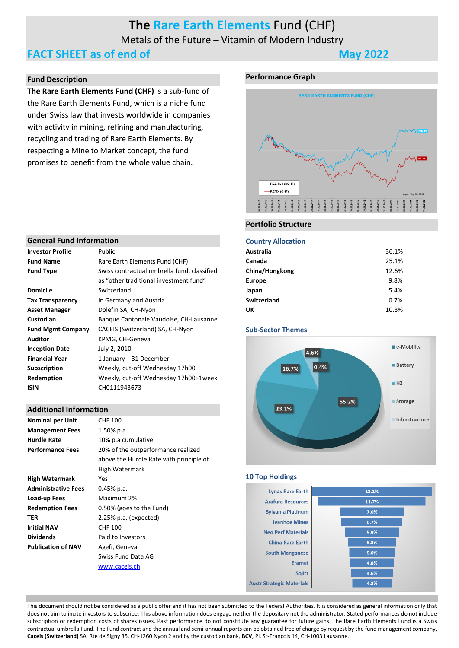# **The Rare Earth Elements** Fund (CHF)

Metals of the Future – Vitamin of Modern Industry

### **FACT SHEET as of end of May 2022**

#### **Fund Description**

**The Rare Earth Elements Fund (CHF)** is a sub-fund of the Rare Earth Elements Fund, which is a niche fund under Swiss law that invests worldwide in companies with activity in mining, refining and manufacturing, recycling and trading of Rare Earth Elements. By respecting a Mine to Market concept, the fund promises to benefit from the whole value chain.

#### **Performance Graph**



#### **General Fund Information**

| Public                                      |
|---------------------------------------------|
| Rare Earth Elements Fund (CHF)              |
| Swiss contractual umbrella fund, classified |
| as "other traditional investment fund"      |
| Switzerland                                 |
| In Germany and Austria                      |
| Dolefin SA, CH-Nyon                         |
| Bangue Cantonale Vaudoise, CH-Lausanne      |
| CACEIS (Switzerland) SA, CH-Nyon            |
| KPMG, CH-Geneva                             |
| July 2, 2010                                |
| 1 January – 31 December                     |
| Weekly, cut-off Wednesday 17h00             |
| Weekly, cut-off Wednesday 17h00+1week       |
| CH0111943673                                |
|                                             |

#### **Additional Information**

| <b>Nominal per Unit</b>    | <b>CHF 100</b>                          |
|----------------------------|-----------------------------------------|
| <b>Management Fees</b>     | 1.50% p.a.                              |
| <b>Hurdle Rate</b>         | 10% p.a cumulative                      |
| <b>Performance Fees</b>    | 20% of the outperformance realized      |
|                            | above the Hurdle Rate with principle of |
|                            | High Watermark                          |
| <b>High Watermark</b>      | Yes                                     |
| <b>Administrative Fees</b> | $0.45%$ p.a.                            |
| Load-up Fees               | Maximum 2%                              |
| <b>Redemption Fees</b>     | 0.50% (goes to the Fund)                |
| TER                        | $2.25\%$ p.a. (expected)                |
| <b>Initial NAV</b>         | CHF 100                                 |
| <b>Dividends</b>           | Paid to Investors                       |
| <b>Publication of NAV</b>  | Agefi, Geneva                           |
|                            | Swiss Fund Data AG                      |
|                            | www.caceis.ch                           |

### **Portfolio Structure**

#### **Country Allocation**

| <u>somnu v runovatnom</u> |       |
|---------------------------|-------|
| Australia                 | 36.1% |
| Canada                    | 25.1% |
| China/Hongkong            | 12.6% |
| <b>Europe</b>             | 9.8%  |
| Japan                     | 5.4%  |
| <b>Switzerland</b>        | 0.7%  |
| UK                        | 10.3% |
|                           |       |

#### **Sub-Sector Themes**



#### **10 Top HoldingsLynas Rare Earth** 13.1% **Arafura Resources** 11.7% **Sylvania Platinum** 7.0% **Ivanhoe Mines**  $6.7%$ **Neo Perf Materials** 5.9% **China Rare Earth**  $5.3%$ **South Manganese**  $5.0%$ **Framet** 4.8% 4.6% Soiitz **Austr Strategic Materials** 4.3%

This document should not be considered as a public offer and it has not been submitted to the Federal Authorities. It is considered as general information only that does not aim to incite investors to subscribe. This above information does engage neither the depositary not the administrator. Stated performances do not include subscription or redemption costs of shares issues. Past performance do not constitute any guarantee for future gains. The Rare Earth Elements Fund is a Swiss contractual umbrella Fund. The Fund contract and the annual and semi-annual reports can be obtained free of charge by request by the fund management company, **Caceis (Switzerland)** SA, Rte de Signy 35, CH-1260 Nyon 2 and by the custodian bank, **BCV**, Pl. St-François 14, CH-1003 Lausanne.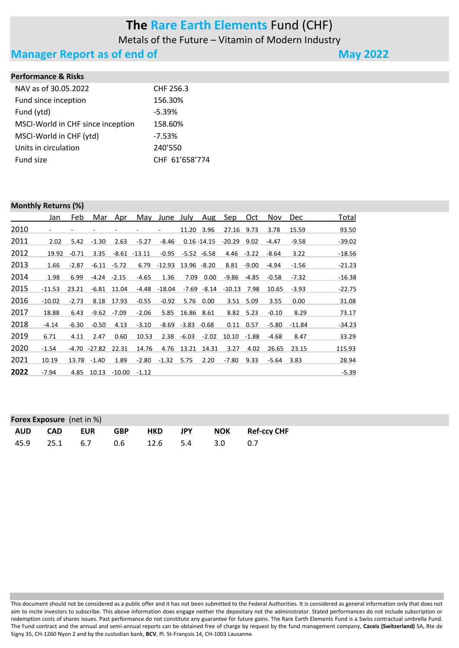# **The Rare Earth Elements** Fund (CHF)

Metals of the Future – Vitamin of Modern Industry

### **Manager Report as of end of <b>Manager Report as of end of May** 2022

#### **Performance & Risks**

| NAV as of 30.05.2022              | CHF 256.3      |
|-----------------------------------|----------------|
| Fund since inception              | 156.30%        |
| Fund (ytd)                        | $-5.39%$       |
| MSCI-World in CHF since inception | 158.60%        |
| MSCI-World in CHF (ytd)           | $-7.53%$       |
| Units in circulation              | 240'550        |
| Fund size                         | CHF 61'658'774 |
|                                   |                |

#### **Monthly Returns (%)**

|      | Jan      | Feb     | Mar           | Apr            | May             | June July |                         | Aug            | <u>Sep</u>     | Oct.          | Nov     | <b>Dec</b> | <u>Total</u> |
|------|----------|---------|---------------|----------------|-----------------|-----------|-------------------------|----------------|----------------|---------------|---------|------------|--------------|
| 2010 | ٠        |         |               |                |                 |           | 11.20                   | 3.96           | 27.16          | 9.73          | 3.78    | 15.59      | 93.50        |
| 2011 | 2.02     | 5.42    | $-1.30$       | 2.63           | $-5.27$         | -8.46     |                         | $0.16 - 14.15$ | $-20.29$       | 9.02          | -4.47   | $-9.58$    | $-39.02$     |
| 2012 | 19.92    | $-0.71$ | 3.35          |                | $-8.61 - 13.11$ | -0.95     |                         | $-5.52 -6.58$  |                | $4.46 - 3.22$ | -8.64   | 3.22       | $-18.56$     |
| 2013 | 1.66     | $-2.87$ |               | $-6.11 - 5.72$ | 6.79            | $-12.93$  | 13.96 -8.20             |                | 8.81           | $-9.00$       | -4.94   | $-1.56$    | $-21.23$     |
| 2014 | 1.98     | 6.99    | $-4.24 -2.15$ |                | $-4.65$         | 1.36      | 7.09                    | 0.00           | -9.86          | -4.85         | $-0.58$ | $-7.32$    | $-16.38$     |
| 2015 | $-11.53$ | 23.21   | -6.81         | 11.04          | -4.48           | -18.04    |                         | $-7.69 - 8.14$ | $-10.13$       | 7.98          | 10.65   | $-3.93$    | $-22.75$     |
| 2016 | $-10.02$ | $-2.73$ | 8.18          | 17.93          | $-0.55$         | $-0.92$   |                         | 5.76 0.00      |                | 3.51 5.09     | 3.55    | 0.00       | 31.08        |
| 2017 | 18.88    | 6.43    | $-9.62$       | $-7.09$        | $-2.06$         | 5.85      | 16.86 8.61              |                |                | 8.82 5.23     | $-0.10$ | 8.29       | 73.17        |
| 2018 | $-4.14$  | $-6.30$ | $-0.50$       | 4.13           | $-3.10$         |           | $-8.69$ $-3.83$ $-0.68$ |                | 0.11           | 0.57          | $-5.80$ | $-11.84$   | $-34.23$     |
| 2019 | 6.71     | 4.11    | 2.47          | 0.60           | 10.53           |           | $2.38 - 6.03$           | $-2.02$        | $10.10 - 1.88$ |               | $-4.68$ | 8.47       | 33.29        |
| 2020 | $-1.54$  |         | -4.70 -27.82  | 22.31          | 14.76           |           | 4.76 13.21              | 14.31          | 3.27           | 4.02          | 26.65   | 23.15      | 115.93       |
| 2021 | 10.19    | 13.78   | $-1.40$       | 1.89           | $-2.80$         | $-1.32$   | 5.75                    | 2.20           | $-7.80$        | 9.33          | -5.64   | 3.83       | 28.94        |
| 2022 | $-7.94$  | 4.85    | 10.13         | -10.00         | $-1.12$         |           |                         |                |                |               |         |            | $-5.39$      |

| <b>Forex Exposure</b> (net in %) |               |         |     |            |            |     |                 |  |  |
|----------------------------------|---------------|---------|-----|------------|------------|-----|-----------------|--|--|
| AUD                              |               | CAD EUR | GBP | <b>HKD</b> | <b>JPY</b> |     | NOK Ref-ccy CHF |  |  |
|                                  | 45.9 25.1 6.7 |         | 0.6 | 12.6 5.4   |            | 3.0 | -0.7            |  |  |

This document should not be considered as a public offer and it has not been submitted to the Federal Authorities. It is considered as general information only that does not aim to incite investors to subscribe. This above information does engage neither the depositary not the administrator. Stated performances do not include subscription or redemption costs of shares issues. Past performance do not constitute any guarantee for future gains. The Rare Earth Elements Fund is a Swiss contractual umbrella Fund. The Fund contract and the annual and semi-annual reports can be obtained free of charge by request by the fund management company, **Caceis (Switzerland)** SA, Rte de Signy 35, CH-1260 Nyon 2 and by the custodian bank, **BCV**, Pl. St-François 14, CH-1003 Lausanne.